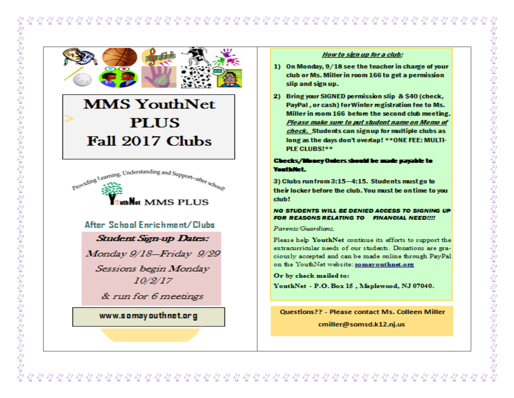**MMS YouthNet PLUS** Fall 2017 Clubs



# After School Enrichment/Clubs

**Student Sign-up Dates:** 

Monday 9/18-Friday 9/29

Sessions begin Monday 10/2/17

& run for 6 meetings

# www.somayouthnet.org

# How to sign up for a club:

- 1) On Monday, 9/18 see the teacher in charge of your club or Ms. Miller in room 166 to get a permission slip and sign up.
- 2) Bring your SIGNED permission slip & \$40 (check, PayPal, or cash) for Winter registration fee to Ms. Miller in room 166 before the second club meeting. Please make sure to put student name on Memo of check. Students can sign up for multiple clubs as long as the days don't overlap! \*\* ONE FEE: MULTI-PLF CLUBS!\*\*

# Checks/Money Oniers should be made payable to You Halled:

3) Clubs run from 3:15-4:15. Students must go to their locker before the club. You must be on time to you club!

### NO STUDENTS WILL BE DENIED ACCESS TO SIGNING UP **FOR REASONS RELATING TO FINANCIAL NEED!!!!**

Parents/Guardians

Please help YouthNet continue its efforts to support the extracurricular needs of our students. Donations are graciously accepted and can be made online through PayPal on the YouthNet website: somayouthnet.org

Or by check mailed to:

YouthNet - P.O. Box 15, Maplewood, NJ 07040.

**Questions?? - Please contact Ms. Colleen Miller** 

cmiller@somsd.k12.nj.us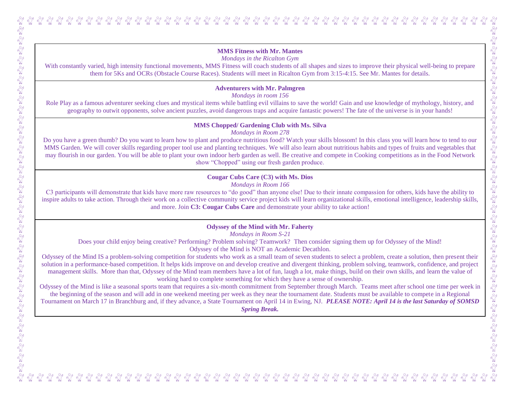*Mondays in the Ricalton Gym*

With constantly varied, high intensity functional movements, MMS Fitness will coach students of all shapes and sizes to improve their physical well-being to prepare them for 5Ks and OCRs (Obstacle Course Races). Students will meet in Ricalton Gym from 3:15-4:15. See Mr. Mantes for details.

# **Adventurers with Mr. Palmgren**

*Mondays in room 156*

Role Play as a famous adventurer seeking clues and mystical items while battling evil villains to save the world! Gain and use knowledge of mythology, history, and geography to outwit opponents, solve ancient puzzles, avoid dangerous traps and acquire fantastic powers! The fate of the universe is in your hands!

### **MMS Chopped/ Gardening Club with Ms. Silva**

*Mondays in Room 278*

Do you have a green thumb? Do you want to learn how to plant and produce nutritious food? Watch your skills blossom! In this class you will learn how to tend to our MMS Garden. We will cover skills regarding proper tool use and planting techniques. We will also learn about nutritious habits and types of fruits and vegetables that may flourish in our garden. You will be able to plant your own indoor herb garden as well. Be creative and compete in Cooking competitions as in the Food Network show "Chopped" using our fresh garden produce.

# **Cougar Cubs Care (C3) with Ms. Dios**

*Mondays in Room 166*

C3 participants will demonstrate that kids have more raw resources to "do good" than anyone else! Due to their innate compassion for others, kids have the ability to inspire adults to take action. Through their work on a collective community service project kids will learn organizational skills, emotional intelligence, leadership skills, and more. Join **C3: Cougar Cubs Care** and demonstrate your ability to take action!

# **Odyssey of the Mind with Mr. Faherty**

*Mondays in Room S-21*

Does your child enjoy being creative? Performing? Problem solving? Teamwork? Then consider signing them up for Odyssey of the Mind! Odyssey of the Mind is NOT an Academic Decathlon.

Odyssey of the Mind IS a problem-solving competition for students who work as a small team of seven students to select a problem, create a solution, then present their solution in a performance-based competition. It helps kids improve on and develop creative and divergent thinking, problem solving, teamwork, confidence, and project management skills. More than that, Odyssey of the Mind team members have a lot of fun, laugh a lot, make things, build on their own skills, and learn the value of working hard to complete something for which they have a sense of ownership.

Odyssey of the Mind is like a seasonal sports team that requires a six-month commitment from September through March. Teams meet after school one time per week in the beginning of the season and will add in one weekend meeting per week as they near the tournament date. Students must be available to compete in a Regional Tournament on March 17 in Branchburg and, if they advance, a State Tournament on April 14 in Ewing, NJ. *PLEASE NOTE: April 14 is the last Saturday of SOMSD Spring Break.*

a by contract the state of contract of contract of contract of contract of contract of contract of contract of<br>The state of the state of the state of the state of the state of the state of the state of the state of the st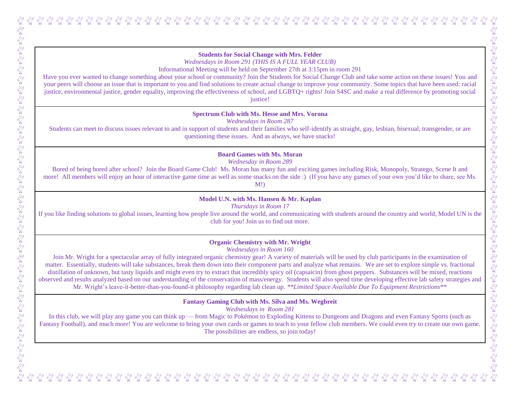## **Students for Social Change with Mrs. Felder**

*Wednesdays in Room 291 (THIS IS A FULL YEAR CLUB)*

Informational Meeting will be held on September 27th at 3:15pm in room 291

Have you ever wanted to change something about your school or community? Join the Students for Social Change Club and take some action on these issues! You and your peers will choose an issue that is important to you and find solutions to create actual change to improve your community. Some topics that have been used: racial justice, environmental justice, gender equality, improving the effectiveness of school, and LGBTQ+ rights! Join S4SC and make a real difference by promoting social justice!

**Spectrum Club with Ms. Hesse and Mrs. Vorona**

*Wednesdays in Room 287*

Students can meet to discuss issues relevant to and in support of students and their families who self-identify as straight, gay, lesbian, bisexual, transgender, or are questioning these issues. And as always, we have snacks!

**Board Games with Ms. Moran**

*Wednesday in Room 289*

Bored of being bored after school? Join the Board Game Club! Ms. Moran has many fun and exciting games including Risk, Monopoly, Stratego, Scene It and more! All members will enjoy an hour of interactive game time as well as some snacks on the side :) (If you have any games of your own you'd like to share, see Ms. M!)

**Model U.N. with Ms. Hansen & Mr. Kaplan**

*Thursdays in Room 17*

If you like finding solutions to global issues, learning how people live around the world, and communicating with students around the country and world, Model UN is the club for you! Join us to find out more.

# **Organic Chemistry with Mr. Wright**

*Wednesdays in Room 160*

Join Mr. Wright for a spectacular array of fully integrated organic chemistry gear! A variety of materials will be used by club participants in the examination of matter. Essentially, students will take substances, break them down into their component parts and analyze what remains. We are set to explore simple vs. fractional distillation of unknown, but tasty liquids and might even try to extract that incredibly spicy oil (capsaicin) from ghost peppers. Substances will be mixed, reactions observed and results analyzed based on our understanding of the conservation of mass/energy. Students will also spend time developing effective lab safety strategies and Mr. Wright's leave-it-better-than-you-found-it philosophy regarding lab clean up. *\*\*Limited Space Available Due To Equipment Restrictions\*\**

**Fantasy Gaming Club with Ms. Silva and Ms. Wegbreit**

*Wednesdays in Room 281*

In this club, we will play any game you can think up — from Magic to Pokémon to Exploding Kittens to Dungeons and Dragons and even Fantasy Sports (such as Fantasy Football), and much more! You are welcome to bring your own cards or games to teach to your fellow club members. We could even try to create our own game. The possibilities are endless, so join today!